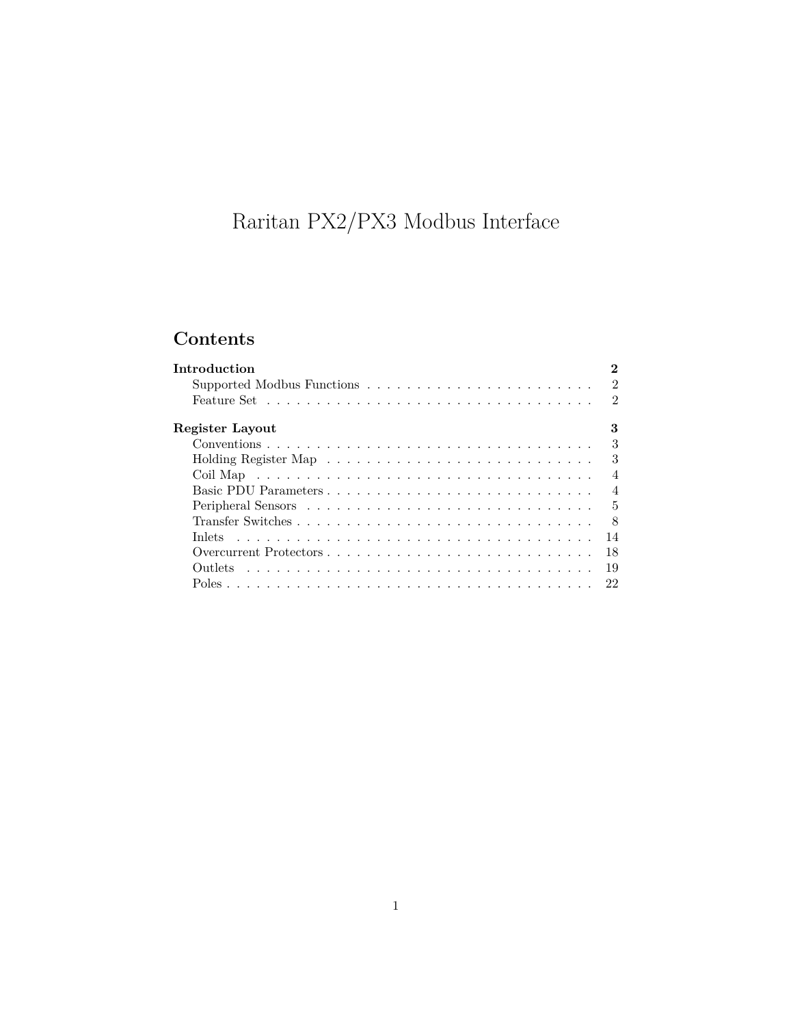# Raritan PX2/PX3 Modbus Interface

## **Contents**

| <b>Introduction</b> | $\bf{2}$       |
|---------------------|----------------|
|                     | $\overline{2}$ |
|                     | $\mathfrak{D}$ |
| Register Layout     | 3              |
|                     | $\mathcal{S}$  |
|                     | 3              |
|                     | $\overline{4}$ |
|                     | $\overline{4}$ |
|                     | $\overline{5}$ |
|                     | 8              |
| <b>Inlets</b>       | 14             |
|                     | 18             |
|                     | 19             |
|                     | 22             |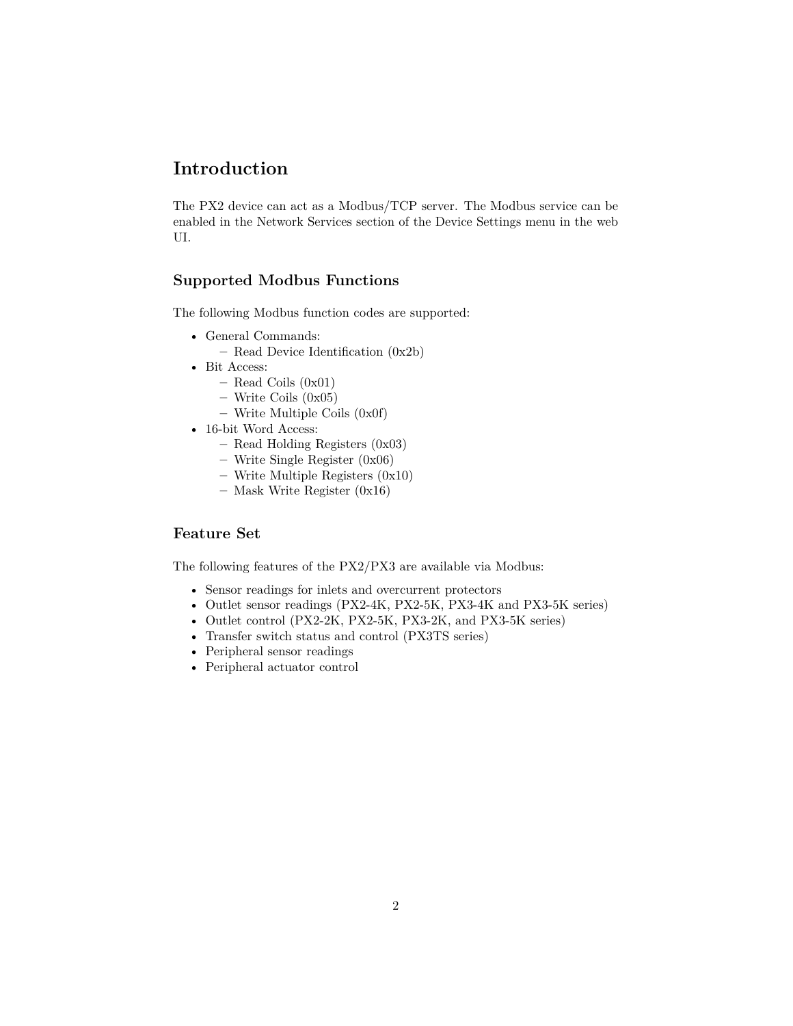## <span id="page-1-0"></span>**Introduction**

The PX2 device can act as a Modbus/TCP server. The Modbus service can be enabled in the Network Services section of the Device Settings menu in the web UI.

#### <span id="page-1-1"></span>**Supported Modbus Functions**

The following Modbus function codes are supported:

- General Commands:
	- **–** Read Device Identification (0x2b)
- Bit Access:
	- **–** Read Coils (0x01)
	- **–** Write Coils (0x05)
	- **–** Write Multiple Coils (0x0f)
- 16-bit Word Access:
	- **–** Read Holding Registers (0x03)
	- **–** Write Single Register (0x06)
	- **–** Write Multiple Registers (0x10)
	- **–** Mask Write Register (0x16)

#### <span id="page-1-2"></span>**Feature Set**

The following features of the PX2/PX3 are available via Modbus:

- Sensor readings for inlets and overcurrent protectors
- Outlet sensor readings (PX2-4K, PX2-5K, PX3-4K and PX3-5K series)
- Outlet control (PX2-2K, PX2-5K, PX3-2K, and PX3-5K series)
- Transfer switch status and control (PX3TS series)
- Peripheral sensor readings
- Peripheral actuator control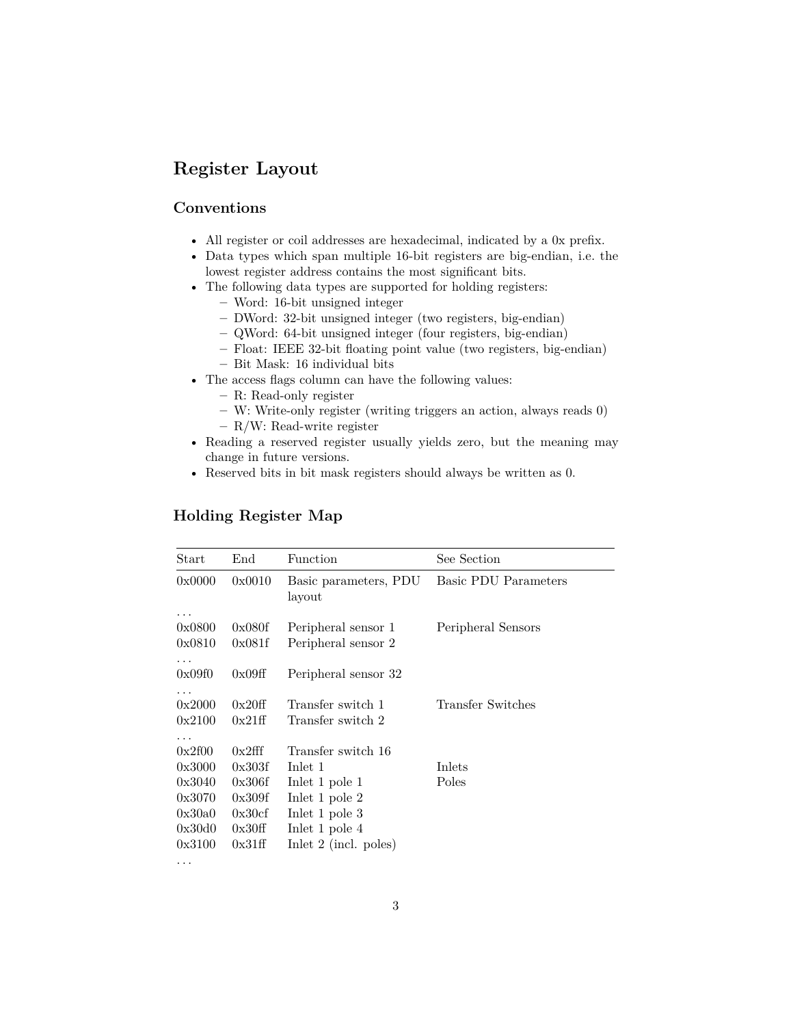## <span id="page-2-0"></span>**Register Layout**

#### <span id="page-2-1"></span>**Conventions**

- All register or coil addresses are hexadecimal, indicated by a 0x prefix.
- Data types which span multiple 16-bit registers are big-endian, i.e. the lowest register address contains the most significant bits.
- The following data types are supported for holding registers:
	- **–** Word: 16-bit unsigned integer
	- **–** DWord: 32-bit unsigned integer (two registers, big-endian)
	- **–** QWord: 64-bit unsigned integer (four registers, big-endian)
	- **–** Float: IEEE 32-bit floating point value (two registers, big-endian)
	- **–** Bit Mask: 16 individual bits
- The access flags column can have the following values:
	- **–** R: Read-only register
	- **–** W: Write-only register (writing triggers an action, always reads 0)
	- **–** R/W: Read-write register
- Reading a reserved register usually yields zero, but the meaning may change in future versions.
- Reserved bits in bit mask registers should always be written as 0.

#### <span id="page-2-2"></span>**Holding Register Map**

| Start                                                                        | $\rm{End}$                                                         | Function                                                                                                                                  | See Section                 |
|------------------------------------------------------------------------------|--------------------------------------------------------------------|-------------------------------------------------------------------------------------------------------------------------------------------|-----------------------------|
| 0x0000                                                                       | 0x0010                                                             | Basic parameters, PDU<br>layout                                                                                                           | <b>Basic PDU Parameters</b> |
| .<br>0x0800<br>0x0810                                                        | 0x080f<br>0x081f                                                   | Peripheral sensor 1<br>Peripheral sensor 2                                                                                                | Peripheral Sensors          |
| .<br>0x09f0                                                                  | 0x09ff                                                             | Peripheral sensor 32                                                                                                                      |                             |
| .<br>0x2000<br>0x2100                                                        | 0x20ff<br>0x21ff                                                   | Transfer switch 1<br>Transfer switch 2                                                                                                    | Transfer Switches           |
| .<br>0x2f00<br>0x3000<br>0x3040<br>0x3070<br>0x30a0<br>0x30d0<br>0x3100<br>. | 0x2fff<br>0x303f<br>0x306f<br>0x309f<br>0x30cf<br>0x30ff<br>0x31ff | Transfer switch 16<br>Inlet 1<br>Inlet 1 pole 1<br>Inlet 1 pole 2<br>In let $1$ pole $3$<br>In let 1 pole $4$<br>In let $2$ (incl. poles) | Inlets<br>Poles             |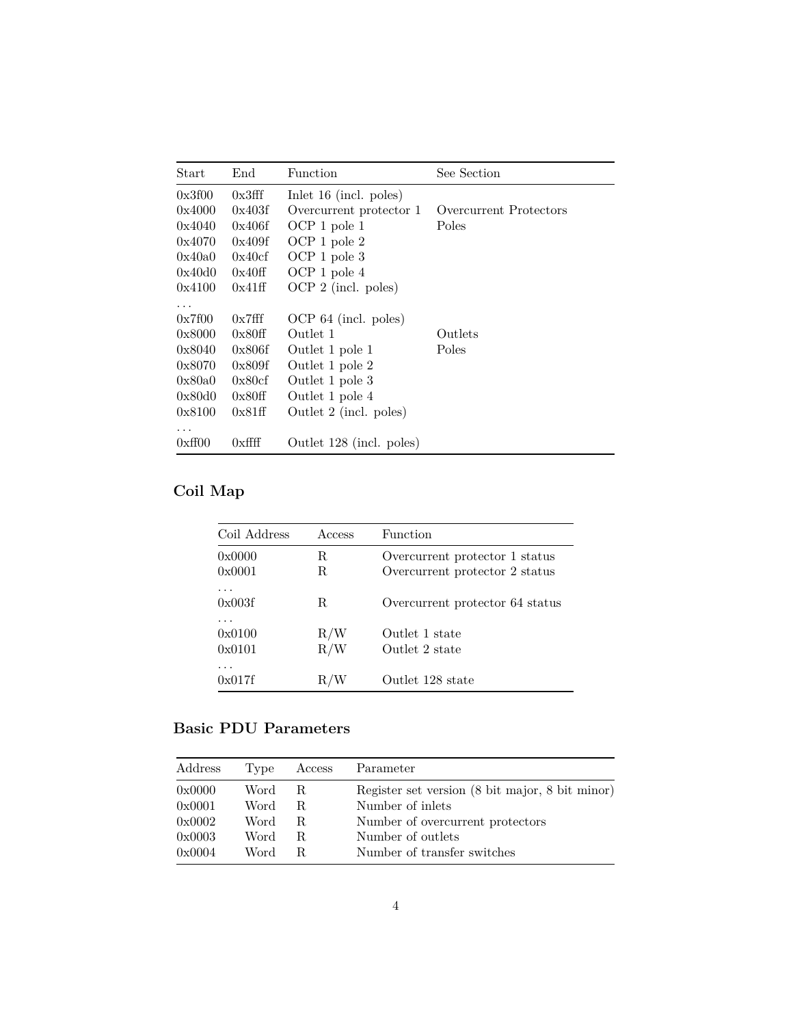| Start    | $\rm{End}$ | Function                 | See Section            |
|----------|------------|--------------------------|------------------------|
| 0x3f00   | 0x3fff     | Inlet $16$ (incl. poles) |                        |
| 0x4000   | 0x403f     | Overcurrent protector 1  | Overcurrent Protectors |
| 0x4040   | 0x406f     | OCP 1 pole 1             | Poles                  |
| 0x4070   | 0x409f     | OCP 1 pole 2             |                        |
| 0x40a0   | 0x40cf     | OCP 1 pole 3             |                        |
| 0x40d0   | 0x40ff     | OCP 1 pole 4             |                        |
| 0x4100   | 0x41ff     | $OCP 2$ (incl. poles)    |                        |
| $\cdots$ |            |                          |                        |
| 0x7f00   | 0x7fff     | $OCP 64$ (incl. poles)   |                        |
| 0x8000   | 0x80ff     | Outlet 1                 | Outlets                |
| 0x8040   | 0x806f     | Outlet 1 pole 1          | Poles                  |
| 0x8070   | 0x809f     | Outlet 1 pole 2          |                        |
| 0x80a0   | 0x80cf     | Outlet 1 pole 3          |                        |
| 0x80d0   | 0x80ff     | Outlet 1 pole 4          |                        |
| 0x8100   | 0x81ff     | Outlet 2 (incl. poles)   |                        |
| .        |            |                          |                        |
| 0xff00   | $0x$ ffff  | Outlet 128 (incl. poles) |                        |

## <span id="page-3-0"></span>**Coil Map**

| Coil Address          | Access     | Function                                                         |
|-----------------------|------------|------------------------------------------------------------------|
| 0x0000<br>0x0001      | R<br>R.    | Overcurrent protector 1 status<br>Overcurrent protector 2 status |
| .<br>0x003f           | R          | Overcurrent protector 64 status                                  |
| .<br>0x0100<br>0x0101 | R/W<br>R/W | Outlet 1 state<br>Outlet 2 state                                 |
| .<br>0x017f           | R/W        | Outlet 128 state                                                 |

## <span id="page-3-2"></span><span id="page-3-1"></span>**Basic PDU Parameters**

| Address | Type | Access | Parameter                                       |
|---------|------|--------|-------------------------------------------------|
| 0x0000  | Word | R.     | Register set version (8 bit major, 8 bit minor) |
| 0x0001  | Word | R.     | Number of inlets                                |
| 0x0002  | Word | R.     | Number of overcurrent protectors                |
| 0x0003  | Word | R.     | Number of outlets                               |
| 0x0004  | Word | R      | Number of transfer switches                     |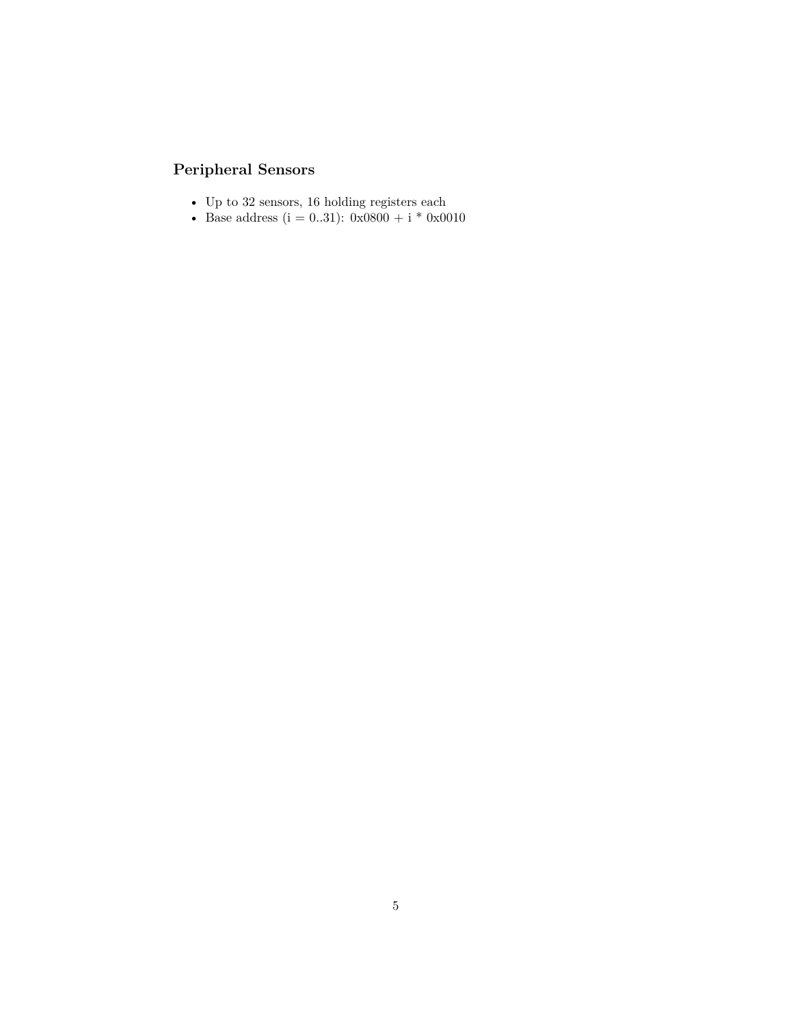## <span id="page-4-1"></span><span id="page-4-0"></span>**Peripheral Sensors**

- Up to 32 sensors, 16 holding registers each
- Base address  $(i = 0..31)$ : 0x0800 + i \* 0x0010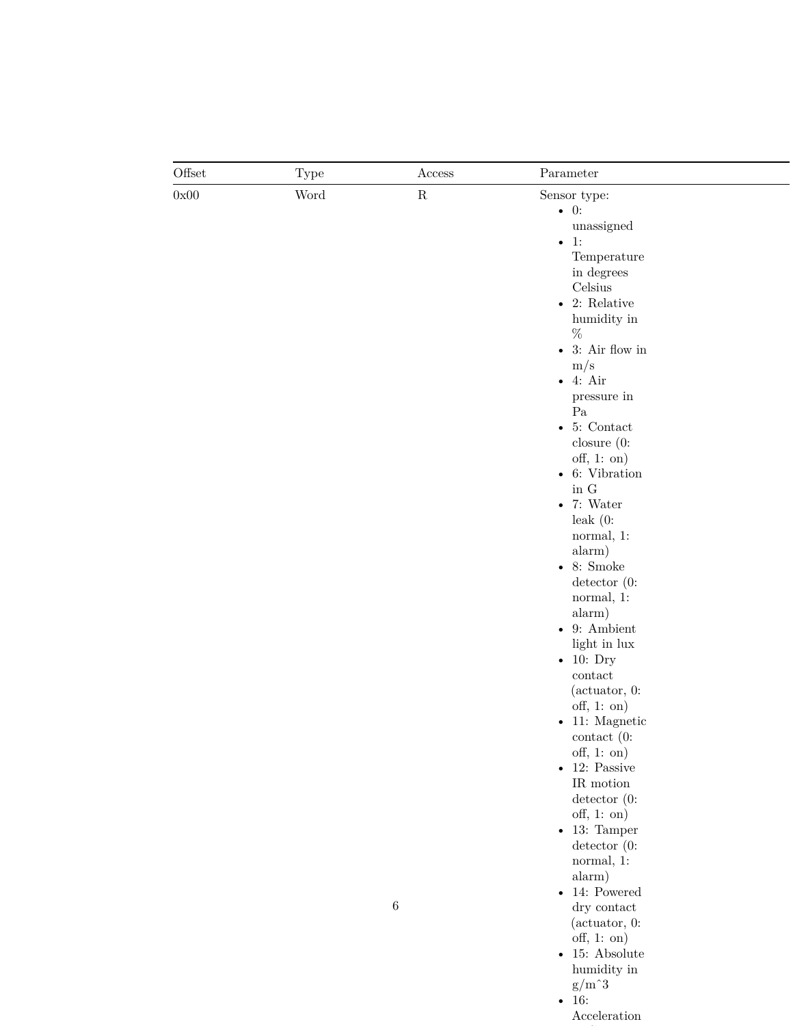| Offset | <b>Type</b> | Access      | Parameter                                |
|--------|-------------|-------------|------------------------------------------|
| 0x00   | Word        | $\mathbf R$ | Sensor type:                             |
|        |             |             | $\bullet$ 0:                             |
|        |             |             | unassigned                               |
|        |             |             | 1:<br>$\bullet$                          |
|        |             |             | Temperature                              |
|        |             |             | in degrees                               |
|        |             |             | Celsius                                  |
|        |             |             | • 2: Relative                            |
|        |             |             | humidity in                              |
|        |             |             | $\%$                                     |
|        |             |             | - 3: Air flow in                         |
|        |             |             | m/s                                      |
|        |             |             | $\bullet$ 4: Air                         |
|        |             |             | pressure in                              |
|        |             |             | $\rm Pa$                                 |
|        |             |             | 5: Contact<br>$\bullet$                  |
|        |             |             | closure $(0:$                            |
|        |             |             | $\text{off}, 1: \text{on}$               |
|        |             |             | $\bullet$ 6: Vibration                   |
|        |             |             | in ${\rm G}$                             |
|        |             |             | $\bullet$ 7: Water                       |
|        |             |             | $leak(0)$ :                              |
|        |             |             |                                          |
|        |             |             | normal, 1:                               |
|        |             |             | alarm)                                   |
|        |             |             | $\bullet$ 8: Smoke                       |
|        |             |             | $\text{detector } (0:$                   |
|        |             |             | normal, 1:                               |
|        |             |             | alarm)                                   |
|        |             |             | $\bullet$ 9: Ambient                     |
|        |             |             | light in lux                             |
|        |             |             | $\bullet$ 10: Dry                        |
|        |             |             | $\mathop{\mathrm{contact}}$              |
|        |             |             | $(\text{actuator}, 0)$ :                 |
|        |             |             | $\text{off}, 1: \text{on}$               |
|        |             |             | $\bullet$ 11: Magnetic                   |
|        |             |             | $\cot(\theta)$ :                         |
|        |             |             | $\text{off}, 1: \text{on}$               |
|        |             |             | $\bullet$ 12: Passive                    |
|        |             |             | $\ensuremath{\mathsf{IR}}\xspace$ motion |
|        |             |             | $\text{detector } (0:$                   |
|        |             |             | $\text{off}, 1: \text{on}$               |
|        |             |             | $\bullet$ 13: Tamper                     |
|        |             |             | $\text{detector } (0:$                   |
|        |             |             | normal, 1:                               |
|        |             |             | alarm)                                   |
|        |             |             | $\bullet$ 14: Powered                    |
|        |             | $\,6\,$     | dry contact                              |
|        |             |             | $(\text{actuator}, 0:$                   |
|        |             |             | $\text{off}, 1: \text{on}$               |
|        |             |             | $\bullet$ 15: Absolute                   |
|        |             |             | humidity in                              |
|        |             |             | $\rm g/m \char 93$                       |

• 16:

Acceleration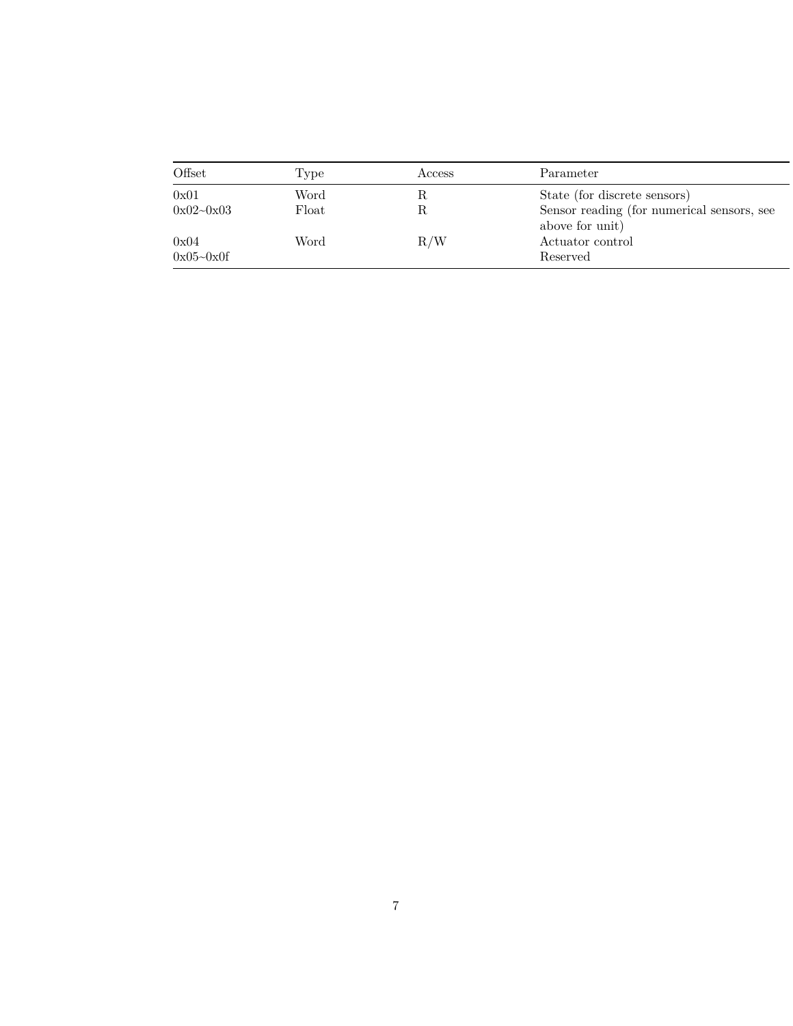| Offset            | Type  | Access | Parameter                                                     |
|-------------------|-------|--------|---------------------------------------------------------------|
| 0x01              | Word  | ĸ      | State (for discrete sensors)                                  |
| $0x02 - 0x03$     | Float |        | Sensor reading (for numerical sensors, see<br>above for unit) |
| 0x04<br>0x05~0x0f | Word  | R/W    | Actuator control<br>Reserved                                  |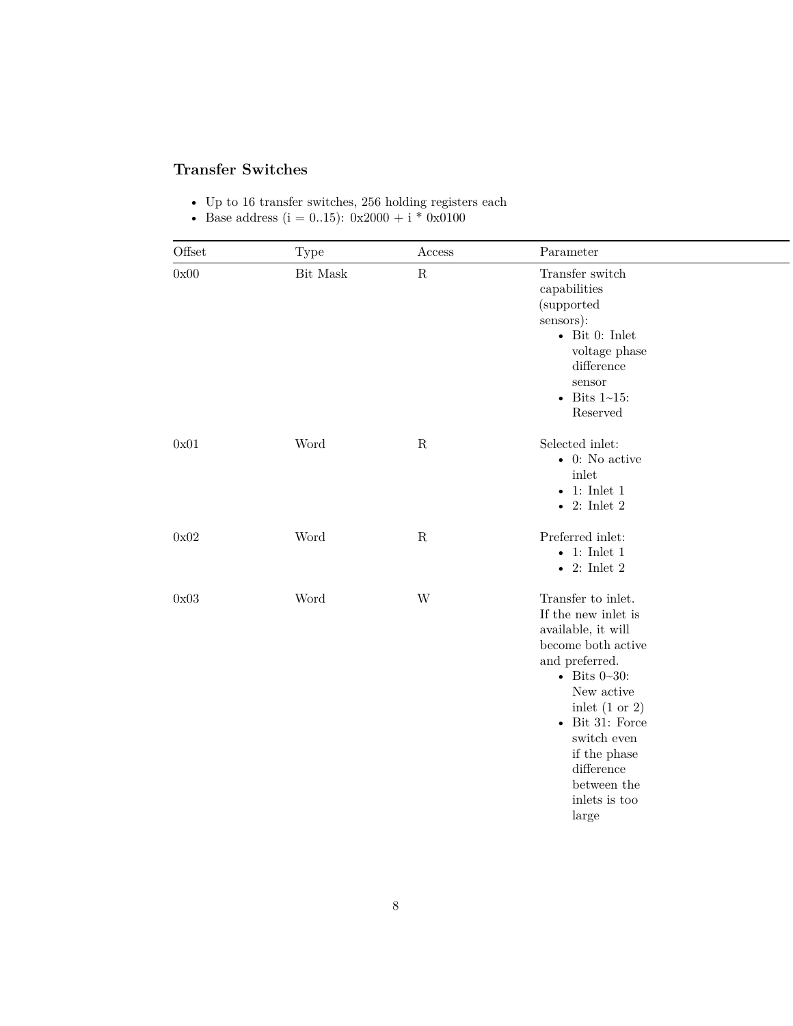### <span id="page-7-1"></span><span id="page-7-0"></span>**Transfer Switches**

- Up to 16 transfer switches, 256 holding registers each
- Base address  $(i = 0..15)$ : 0x2000 + i \* 0x0100

| Offset | Type                   | Access      | Parameter                       |  |
|--------|------------------------|-------------|---------------------------------|--|
| 0x00   | $\rm{Bit}$ $\rm{Mask}$ | $\mathbf R$ | Transfer switch<br>capabilities |  |
|        |                        |             | (supported                      |  |
|        |                        |             | sensors):                       |  |
|        |                        |             | $\bullet$ Bit 0: Inlet          |  |
|        |                        |             | voltage phase                   |  |
|        |                        |             | difference                      |  |
|        |                        |             | sensor                          |  |
|        |                        |             | $\bullet$ Bits 1~15:            |  |
|        |                        |             | Reserved                        |  |
| 0x01   | Word                   | ${\bf R}$   | Selected inlet:                 |  |
|        |                        |             | $\bullet$ 0: No active          |  |
|        |                        |             | $\operatorname{inlet}$          |  |
|        |                        |             | • 1: Inlet $1$                  |  |
|        |                        |             | $\bullet$ 2: Inlet 2            |  |
| 0x02   | Word                   | $\mathbf R$ | Preferred inlet:                |  |
|        |                        |             | $\bullet$ 1: Inlet 1            |  |
|        |                        |             | • 2: Inlet $2$                  |  |
| 0x03   | Word                   | W           | Transfer to inlet.              |  |
|        |                        |             | If the new inlet is             |  |
|        |                        |             | available, it will              |  |
|        |                        |             | become both active              |  |
|        |                        |             | and preferred.                  |  |
|        |                        |             | • Bits $0 - 30$ :               |  |
|        |                        |             | New active                      |  |
|        |                        |             | in let $(1 \text{ or } 2)$      |  |
|        |                        |             | $\bullet$ Bit 31: Force         |  |
|        |                        |             | switch even                     |  |
|        |                        |             | if the phase                    |  |
|        |                        |             | difference                      |  |
|        |                        |             | between the                     |  |
|        |                        |             | inlets is too                   |  |
|        |                        |             | large                           |  |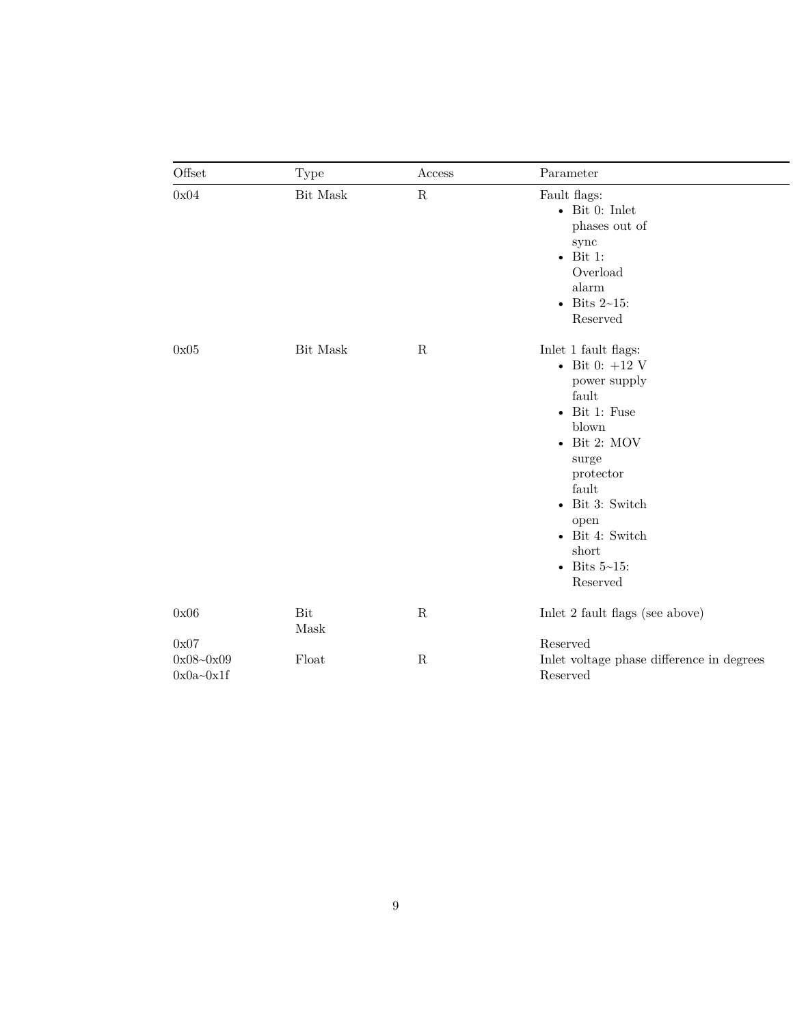| Offset                         | Type        | Access      | Parameter                                                                                                                                                                                                                                             |
|--------------------------------|-------------|-------------|-------------------------------------------------------------------------------------------------------------------------------------------------------------------------------------------------------------------------------------------------------|
| 0x04                           | Bit Mask    | ${\bf R}$   | Fault flags:<br>$\bullet$ Bit 0: Inlet<br>phases out of<br>sync<br>$\bullet$ Bit 1:<br>Overload<br>alarm<br>$\bullet$ Bits 2~15:<br>Reserved                                                                                                          |
| 0x05                           | Bit Mask    | ${\bf R}$   | Inlet 1 fault flags:<br>- Bit 0: $+12$ V<br>power supply<br>fault<br>$\bullet$ Bit 1: Fuse<br>blown<br>$\bullet$ Bit 2: MOV<br>surge<br>protector<br>fault<br>• Bit 3: Switch<br>open<br>• Bit 4: Switch<br>short<br>$\bullet$ Bits 5~15:<br>Reserved |
| 0x06                           | Bit<br>Mask | ${\bf R}$   | Inlet 2 fault flags (see above)                                                                                                                                                                                                                       |
| 0x07                           |             |             | Reserved                                                                                                                                                                                                                                              |
| $0x08 - 0x09$<br>$0x0a - 0x1f$ | Float       | $\mathbf R$ | Inlet voltage phase difference in degrees<br>Reserved                                                                                                                                                                                                 |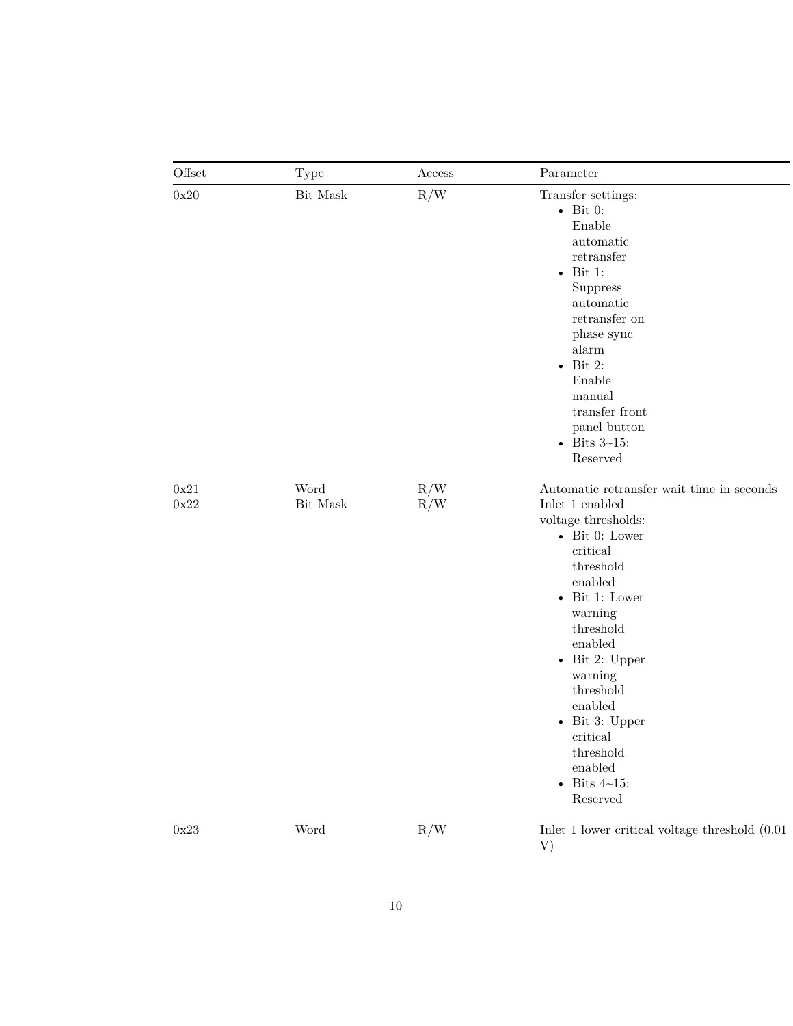| Offset       | <b>Type</b>      | Access     | Parameter                                                                                                                                                                                                                                                                                                                                                                   |
|--------------|------------------|------------|-----------------------------------------------------------------------------------------------------------------------------------------------------------------------------------------------------------------------------------------------------------------------------------------------------------------------------------------------------------------------------|
| 0x20         | Bit Mask         | R/W        | Transfer settings:<br>$\bullet$ Bit 0:<br>Enable<br>automatic<br>retransfer<br>Bit 1:<br>$\bullet$<br><b>Suppress</b><br>automatic<br>$retransfer$ on $\,$<br>phase sync<br>alarm<br>Bit 2:<br>$\bullet$<br>Enable<br>manual<br>transfer front<br>panel button<br>$\bullet$ Bits 3~15:<br>Reserved                                                                          |
| 0x21<br>0x22 | Word<br>Bit Mask | R/W<br>R/W | Automatic retransfer wait time in seconds<br>Inlet 1 enabled<br>voltage thresholds:<br>$\bullet$ Bit 0: Lower<br>critical<br>threshold<br>enabled<br>$\bullet$ Bit 1: Lower<br>warning<br>threshold<br>enabled<br>$\bullet$ Bit 2: Upper<br>warning<br>threshold<br>enabled<br>$\bullet$ Bit 3: Upper<br>critical<br>threshold<br>enabled<br>- Bits $4\sim15$ :<br>Reserved |
| $0x23$       | Word             | R/W        | Inlet 1 lower critical voltage threshold $(0.01)$<br>V)                                                                                                                                                                                                                                                                                                                     |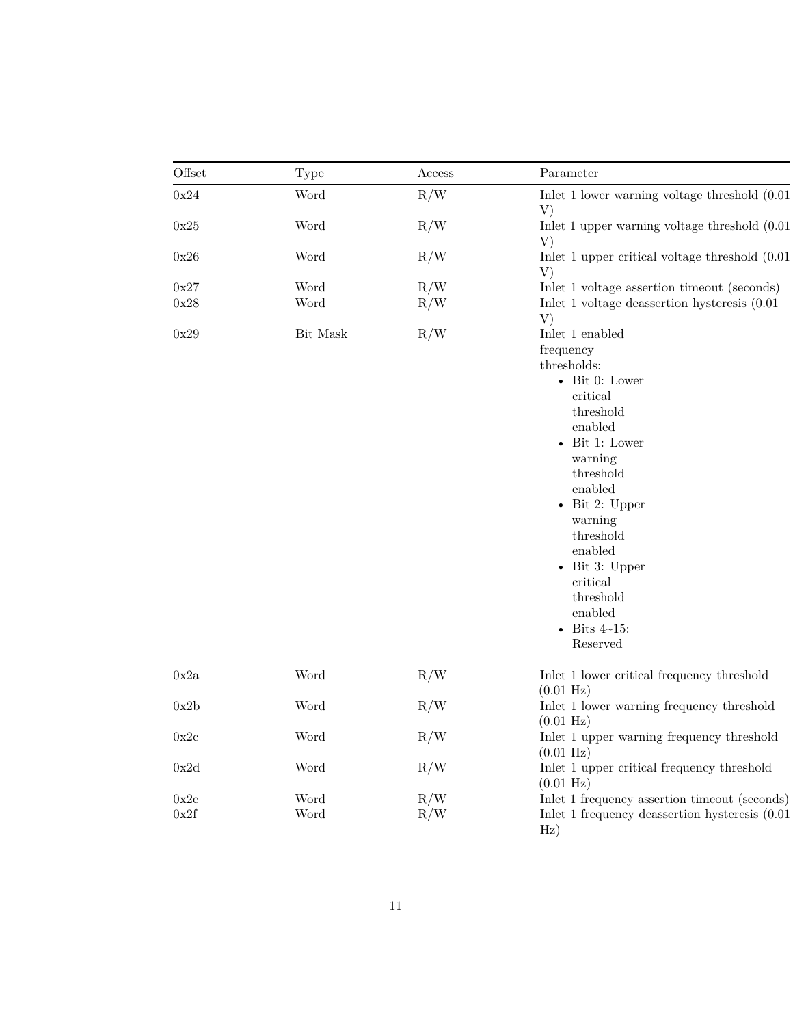| Offset | Type     | Access | Parameter                                                         |
|--------|----------|--------|-------------------------------------------------------------------|
| 0x24   | Word     | R/W    | Inlet $1$ lower warning voltage threshold $(0.01)$<br>V)          |
| 0x25   | Word     | R/W    | Inlet 1 upper warning voltage threshold $(0.01)$<br>V)            |
| 0x26   | Word     | R/W    | Inlet 1 upper critical voltage threshold $(0.01)$<br>V)           |
| 0x27   | Word     | R/W    | Inlet 1 voltage assertion timeout (seconds)                       |
| 0x28   | Word     | R/W    | Inlet 1 voltage deassertion hysteresis $(0.01)$<br>V)             |
| 0x29   | Bit Mask | R/W    | Inlet 1 enabled                                                   |
|        |          |        | frequency                                                         |
|        |          |        | thresholds:                                                       |
|        |          |        | $\bullet$ Bit 0: Lower                                            |
|        |          |        | critical                                                          |
|        |          |        | threshold                                                         |
|        |          |        | enabled                                                           |
|        |          |        | $\bullet$ Bit 1: Lower                                            |
|        |          |        | warning                                                           |
|        |          |        | threshold                                                         |
|        |          |        | enabled                                                           |
|        |          |        | $\bullet$ Bit 2: Upper                                            |
|        |          |        | warning                                                           |
|        |          |        | threshold                                                         |
|        |          |        | enabled                                                           |
|        |          |        | $\bullet$ Bit 3: Upper                                            |
|        |          |        | critical                                                          |
|        |          |        | threshold                                                         |
|        |          |        | enabled                                                           |
|        |          |        | Bits $4\negthinspace\negthinspace-15$ :                           |
|        |          |        | Reserved                                                          |
| 0x2a   | Word     | R/W    | Inlet 1 lower critical frequency threshold<br>$(0.01 \text{ Hz})$ |
| 0x2b   | Word     | R/W    | Inlet 1 lower warning frequency threshold                         |
|        |          |        | $(0.01 \text{ Hz})$                                               |
| 0x2c   | Word     | R/W    | Inlet 1 upper warning frequency threshold                         |
|        |          |        | $(0.01 \text{ Hz})$                                               |
| 0x2d   | Word     | R/W    | Inlet 1 upper critical frequency threshold                        |
|        |          |        | $(0.01 \text{ Hz})$                                               |
| 0x2e   | Word     | R/W    | Inlet 1 frequency assertion timeout (seconds)                     |
| 0x2f   | Word     | R/W    | Inlet 1 frequency deassertion hysteresis $(0.01)$                 |
|        |          |        | $\rm Hz)$                                                         |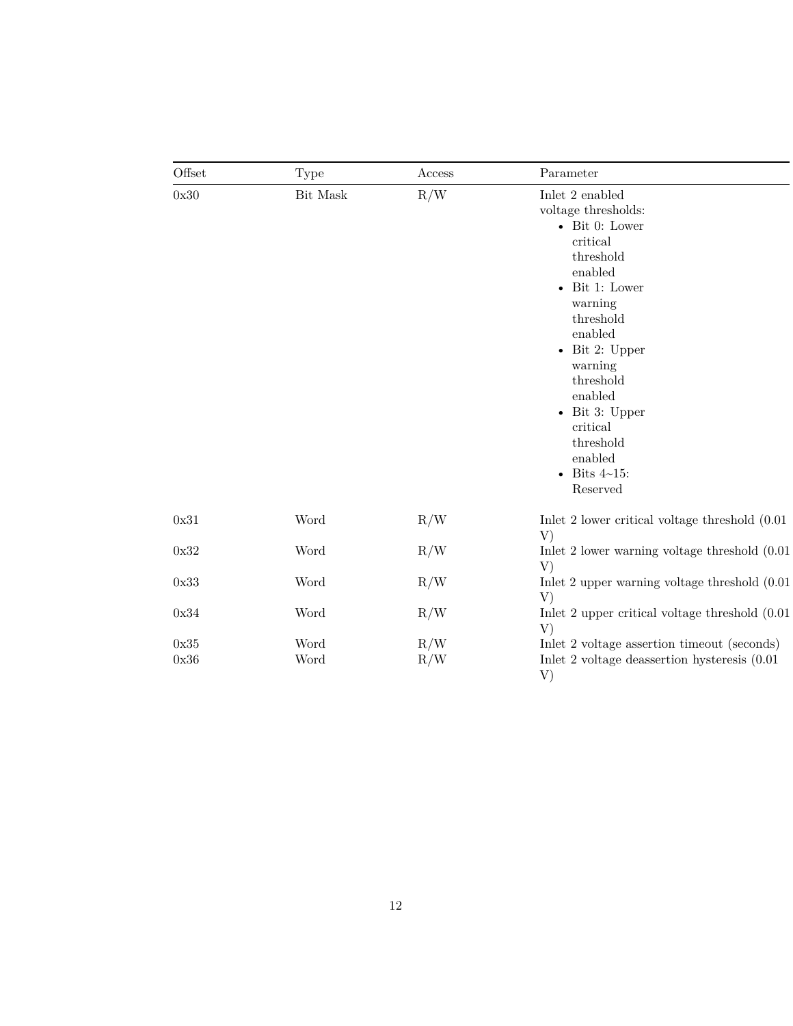| Offset       | Type         | Access     | Parameter                                                                                                                                                                                                                                                                                                                                              |
|--------------|--------------|------------|--------------------------------------------------------------------------------------------------------------------------------------------------------------------------------------------------------------------------------------------------------------------------------------------------------------------------------------------------------|
| 0x30         | Bit Mask     | R/W        | Inlet 2 enabled<br>voltage thresholds:<br>$\bullet$ Bit 0: Lower<br>critical<br>threshold<br>enabled<br>Bit 1: Lower<br>$\bullet$<br>warning<br>threshold<br>enabled<br>$\bullet$ Bit 2: Upper<br>warning<br>threshold<br>enabled<br>$\bullet$ Bit 3: Upper<br>critical<br>threshold<br>enabled<br>Bits $4\negthinspace\negthinspace-15$ :<br>Reserved |
| 0x31         | Word         | R/W        | Inlet 2 lower critical voltage threshold $(0.01)$<br>V)                                                                                                                                                                                                                                                                                                |
| 0x32         | Word         | R/W        | Inlet $2$ lower warning voltage threshold $(0.01)$<br>V)                                                                                                                                                                                                                                                                                               |
| 0x33         | Word         | R/W        | Inlet 2 upper warning voltage threshold (0.01)<br>V)                                                                                                                                                                                                                                                                                                   |
| 0x34         | Word         | R/W        | Inlet 2 upper critical voltage threshold $(0.01)$<br>V)                                                                                                                                                                                                                                                                                                |
| 0x35<br>0x36 | Word<br>Word | R/W<br>R/W | Inlet 2 voltage assertion timeout (seconds)<br>Inlet 2 voltage deassertion hysteresis $(0.01)$<br>V)                                                                                                                                                                                                                                                   |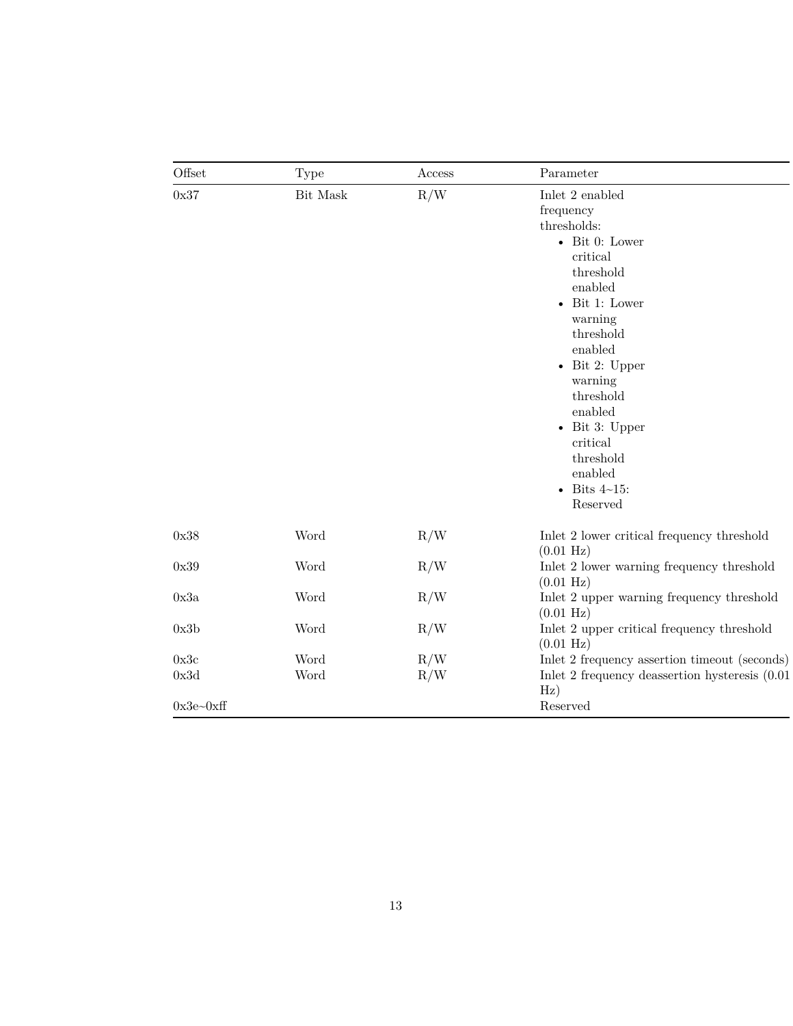| Offset      | Type     | Access | Parameter                                                                                                                                                                                                                                                                                                                     |
|-------------|----------|--------|-------------------------------------------------------------------------------------------------------------------------------------------------------------------------------------------------------------------------------------------------------------------------------------------------------------------------------|
| 0x37        | Bit Mask | R/W    | Inlet 2 enabled<br>frequency<br>thresholds:<br>- Bit 0: Lower<br>critical<br>threshold<br>enabled<br>$\bullet$ Bit 1: Lower<br>warning<br>threshold<br>enabled<br>$\bullet$ Bit 2: Upper<br>warning<br>threshold<br>enabled<br>$\bullet$ Bit 3: Upper<br>critical<br>threshold<br>enabled<br>$\bullet$ Bits 4~15:<br>Reserved |
| 0x38        | Word     | R/W    | Inlet 2 lower critical frequency threshold<br>$(0.01 \text{ Hz})$                                                                                                                                                                                                                                                             |
| 0x39        | Word     | R/W    | Inlet 2 lower warning frequency threshold<br>$(0.01 \text{ Hz})$                                                                                                                                                                                                                                                              |
| 0x3a        | Word     | R/W    | Inlet 2 upper warning frequency threshold<br>$(0.01 \text{ Hz})$                                                                                                                                                                                                                                                              |
| 0x3b        | Word     | R/W    | Inlet 2 upper critical frequency threshold<br>$(0.01 \text{ Hz})$                                                                                                                                                                                                                                                             |
| 0x3c        | Word     | R/W    | Inlet 2 frequency assertion timeout (seconds)                                                                                                                                                                                                                                                                                 |
| 0x3d        | Word     | R/W    | Inlet 2 frequency deassertion hysteresis (0.01)<br>Hz)                                                                                                                                                                                                                                                                        |
| $0x3e-0xff$ |          |        | Reserved                                                                                                                                                                                                                                                                                                                      |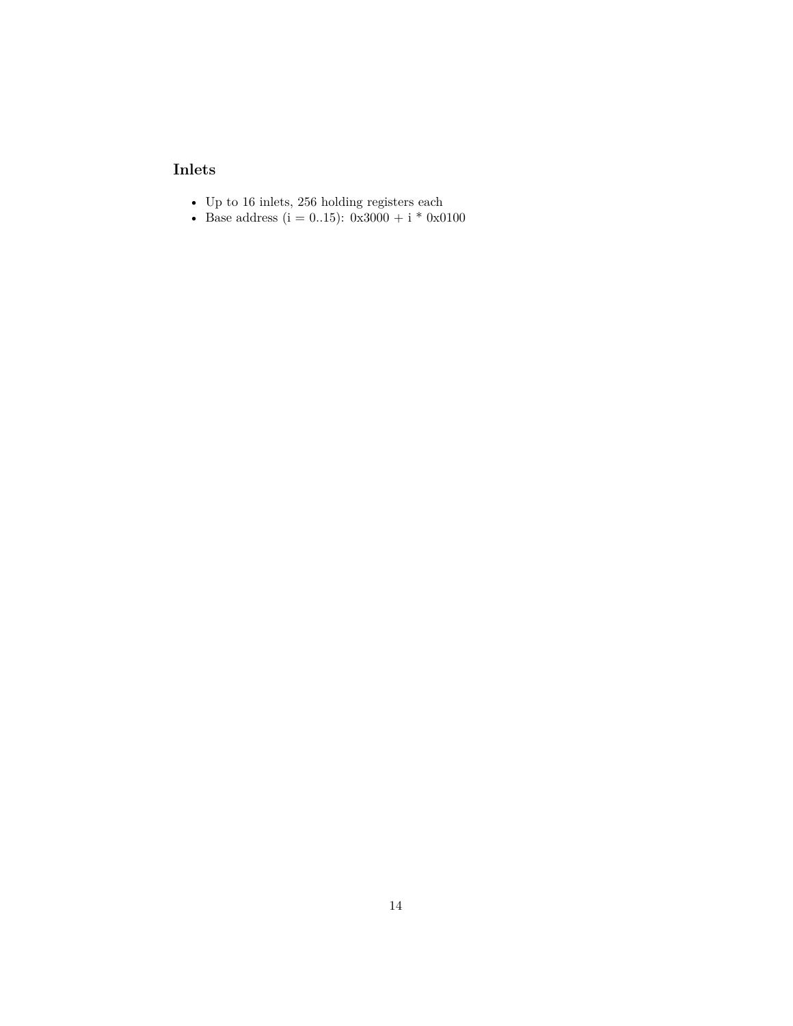### <span id="page-13-1"></span><span id="page-13-0"></span>**Inlets**

- $\bullet~$  Up to 16 inlets, 256 holding registers each
- Base address ( $i = 0..15$ ):  $0x3000 + i * 0x0100$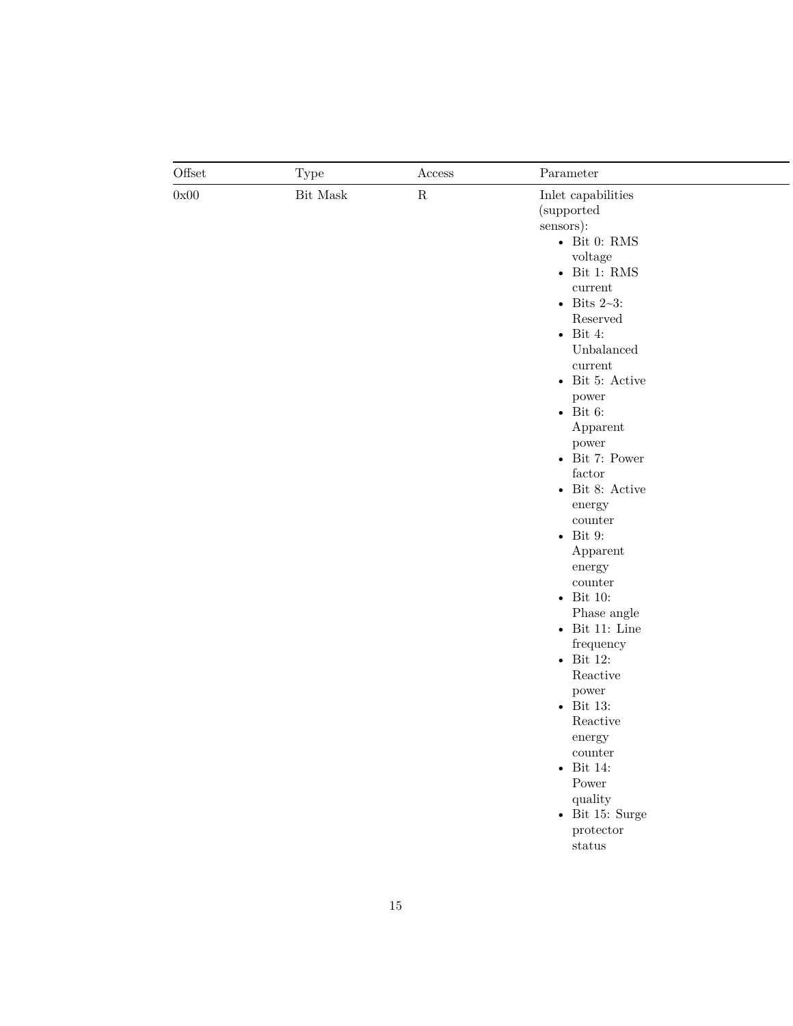|                | <b>Type</b>     | $\rm Access$ | Parameter                                                                                                                                                                                                                                                                                                                                                                                                                                                                                                                                                                                                                                                                                                                                         |
|----------------|-----------------|--------------|---------------------------------------------------------------------------------------------------------------------------------------------------------------------------------------------------------------------------------------------------------------------------------------------------------------------------------------------------------------------------------------------------------------------------------------------------------------------------------------------------------------------------------------------------------------------------------------------------------------------------------------------------------------------------------------------------------------------------------------------------|
| Offset<br>0x00 | $\rm{Bit~Mask}$ | ${\bf R}$    | Inlet capabilities<br>(supported<br>sensors):<br>- Bit 0: RMS<br>voltage<br>- Bit 1: $\mathrm{RMS}$<br>$\it current$<br>• Bits $2\text{-}3$ :<br>Reserved<br>$\bullet$ Bit 4:<br>Unbalanced<br>$\it current$<br>• Bit 5: Active<br>power<br>- Bit 6:<br>Apparent<br>power<br>$\bullet$ Bit 7: Power<br>factor<br>- Bit 8: Active<br>energy<br>$\operatorname{counter}$<br>$\bullet$ Bit 9:<br>Apparent<br>energy<br>$\operatorname{counter}$<br>- Bit 10:<br>Phase angle<br>- Bit 11: Line<br>frequency<br>$\bullet$ Bit 12:<br>Reactive<br>power<br>- Bit 13:<br>Reactive<br>$\operatorname{energy}$<br>$\operatorname{counter}$<br>$\bullet$ Bit 14:<br>Power<br>quality<br>- Bit 15: Surge<br>$\operatorname{protector}$<br>$_\mathrm{status}$ |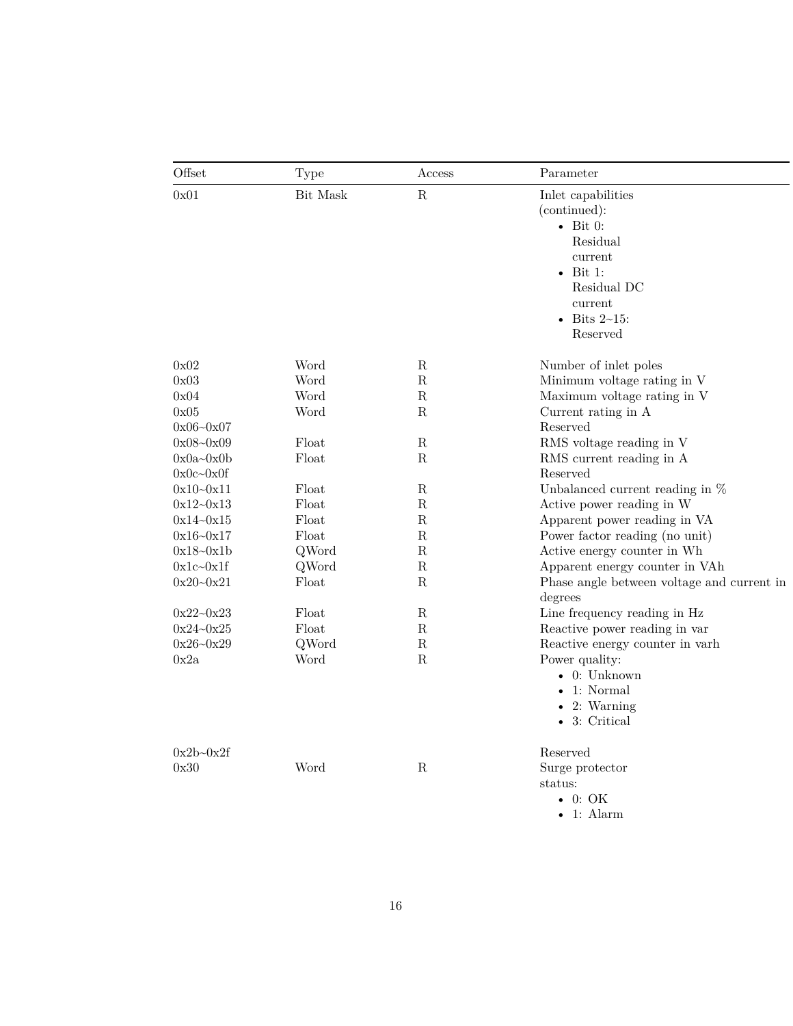| Offset        | Type     | Access      | Parameter                                  |
|---------------|----------|-------------|--------------------------------------------|
| 0x01          | Bit Mask | ${\bf R}$   | Inlet capabilities                         |
|               |          |             | (continued):                               |
|               |          |             | $\bullet$ Bit 0:                           |
|               |          |             | Residual                                   |
|               |          |             | current                                    |
|               |          |             | $\bullet$ Bit 1:                           |
|               |          |             | Residual DC                                |
|               |          |             | current                                    |
|               |          |             | • Bits $2 \sim 15$ :                       |
|               |          |             | Reserved                                   |
| 0x02          | Word     | $\mathbf R$ | Number of inlet poles                      |
| 0x03          | Word     | R           | Minimum voltage rating in V                |
| 0x04          | Word     | ${\bf R}$   | Maximum voltage rating in V                |
| 0x05          | Word     | R           | Current rating in A                        |
| $0x06 - 0x07$ |          |             | Reserved                                   |
| $0x08 - 0x09$ | Float    | $\mathbf R$ | RMS voltage reading in V                   |
| $0x0a-0x0b$   | Float    | $\mathbf R$ | RMS current reading in A                   |
| $0x0c-0x0f$   |          |             | Reserved                                   |
| $0x10 - 0x11$ | Float    | R           | Unbalanced current reading in $\%$         |
| $0x12 - 0x13$ | Float    | R           | Active power reading in W                  |
| $0x14 - 0x15$ | Float    | ${\bf R}$   | Apparent power reading in VA               |
| $0x16 - 0x17$ | Float    | ${\bf R}$   | Power factor reading (no unit)             |
| $0x18 - 0x1b$ | QWord    | $\mathbf R$ | Active energy counter in Wh                |
| $0x1c-0x1f$   | QWord    | ${\bf R}$   | Apparent energy counter in VAh             |
| $0x20 - 0x21$ | Float    | ${\bf R}$   | Phase angle between voltage and current in |
|               |          |             | degrees                                    |
| $0x22 - 0x23$ | Float    | R           | Line frequency reading in Hz               |
| $0x24 - 0x25$ | Float    | ${\bf R}$   | Reactive power reading in var              |
| $0x26 - 0x29$ | QWord    | ${\bf R}$   | Reactive energy counter in varh            |
| 0x2a          | Word     | ${\bf R}$   | Power quality:                             |
|               |          |             | $\bullet$ 0: Unknown                       |
|               |          |             | $\bullet$ 1: Normal                        |
|               |          |             | $\bullet$ 2: Warning                       |
|               |          |             | • 3: Critical                              |
| $0x2b-0x2f$   |          |             | Reserved                                   |
| 0x30          | Word     | $\mathbf R$ | Surge protector                            |
|               |          |             | status:                                    |
|               |          |             | $\bullet$ 0: OK                            |
|               |          |             | $\bullet$ 1: Alarm                         |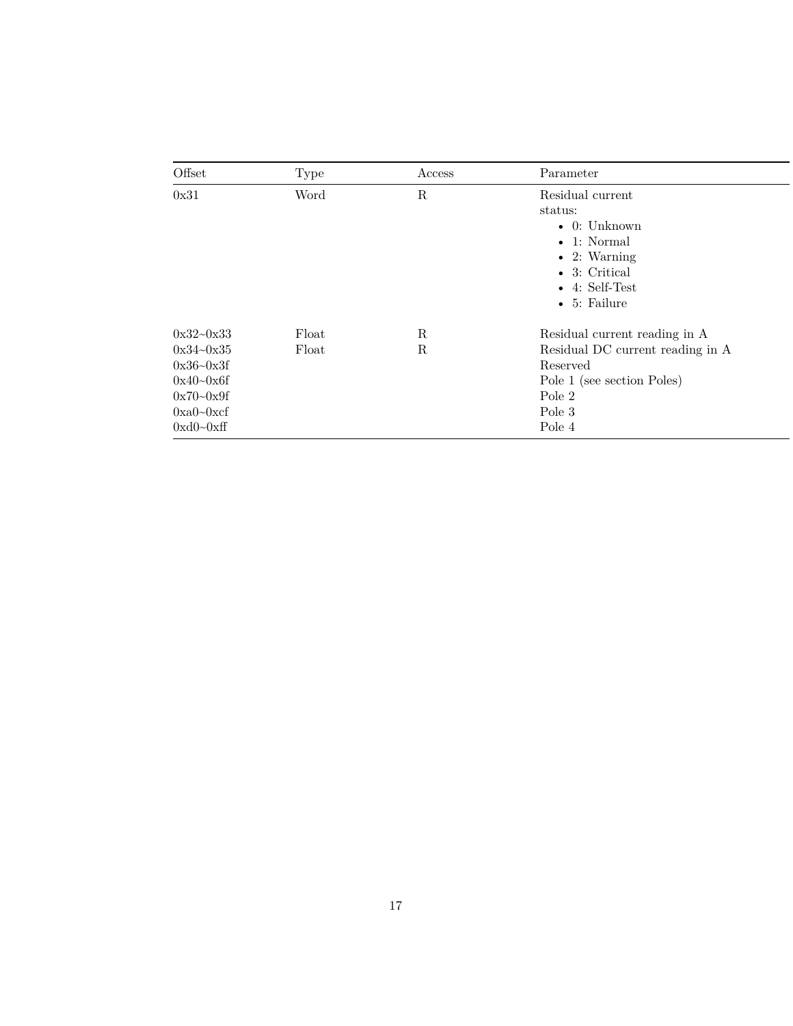| Offset                                                                                                          | Type           | Access                    | Parameter                                                                                                                                                             |
|-----------------------------------------------------------------------------------------------------------------|----------------|---------------------------|-----------------------------------------------------------------------------------------------------------------------------------------------------------------------|
| 0x31                                                                                                            | Word           | $\mathbf R$               | Residual current<br>status:<br>$\bullet$ 0: Unknown<br>$\bullet$ 1: Normal<br>$\bullet$ 2: Warning<br>• 3: Critical<br>$\bullet$ 4: Self-Test<br>$\bullet$ 5: Failure |
| $0x32 - 0x33$<br>$0x34 - 0x35$<br>$0x36 - 0x3f$<br>$0x40 - 0x6f$<br>$0x70 - 0x9f$<br>$0xa0-0xcf$<br>$0xd0-0xff$ | Float<br>Float | $\mathbf R$<br>$_{\rm R}$ | Residual current reading in A<br>Residual DC current reading in A<br>Reserved<br>Pole 1 (see section Poles)<br>Pole 2<br>Pole 3<br>Pole 4                             |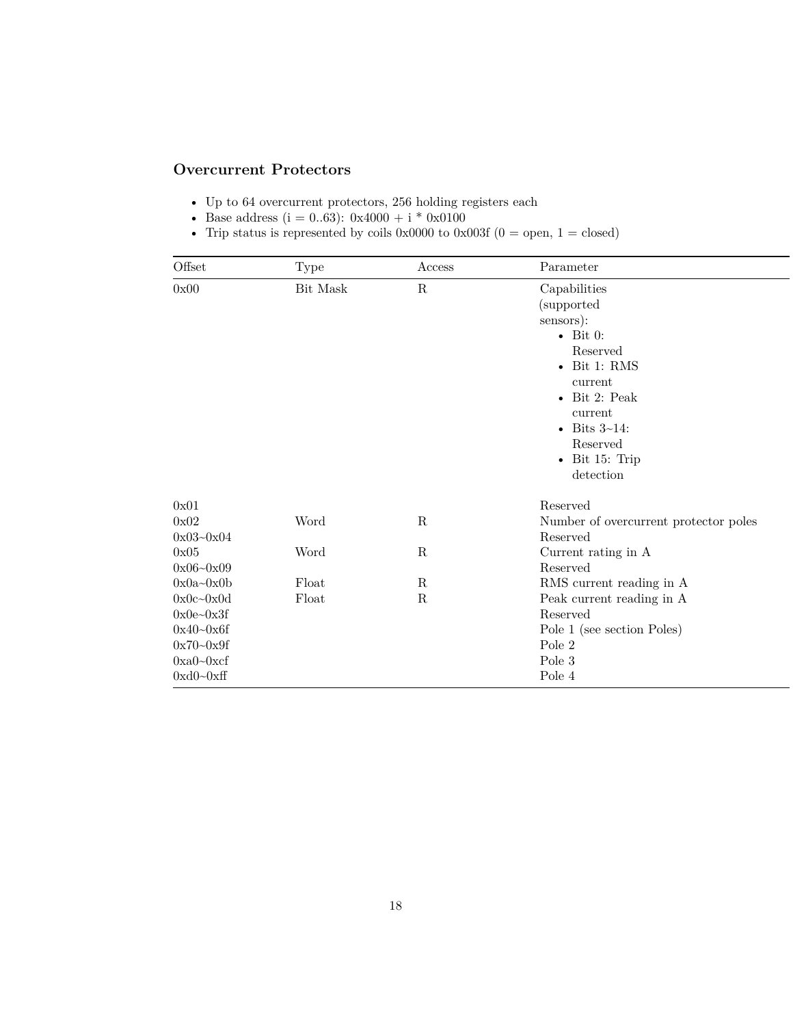### <span id="page-17-1"></span><span id="page-17-0"></span>**Overcurrent Protectors**

- $\bullet~$  Up to 64 overcurrent protectors, 256 holding registers each
- Base address ( $i = 0..63$ ): 0x4000 + i \* 0x0100
- Trip status is represented by coils  $0 \times 0000$  to  $0 \times 003f$  (0 = open, 1 = closed)

| Offset         | Type     | Access      | Parameter                                                                                                                                                                                                                   |
|----------------|----------|-------------|-----------------------------------------------------------------------------------------------------------------------------------------------------------------------------------------------------------------------------|
| 0x00           | Bit Mask | $\mathbf R$ | Capabilities<br>(supported<br>sensors):<br>$\bullet$ Bit 0:<br>Reserved<br>$\bullet$ Bit 1: RMS<br>current<br>$\bullet$ Bit 2: Peak<br>current<br>• Bits $3\text{-}14$ :<br>Reserved<br>$\bullet$ Bit 15: Trip<br>detection |
| 0x01<br>0x02   | Word     | ${\bf R}$   | Reserved<br>Number of overcurrent protector poles                                                                                                                                                                           |
| $0x03 - 0x04$  |          |             | Reserved                                                                                                                                                                                                                    |
| 0x05           | Word     | ${\bf R}$   | Current rating in A                                                                                                                                                                                                         |
| $0x06 - 0x09$  |          |             | Reserved                                                                                                                                                                                                                    |
| $0x0a-0x0b$    | Float    | R           | RMS current reading in A                                                                                                                                                                                                    |
| $0x0c - 0x0d$  | Float    | ${\bf R}$   | Peak current reading in A                                                                                                                                                                                                   |
| $0x0e^{-0x3f}$ |          |             | Reserved                                                                                                                                                                                                                    |
| $0x40 - 0x6f$  |          |             | Pole 1 (see section Poles)                                                                                                                                                                                                  |
| $0x70 - 0x9f$  |          |             | Pole 2                                                                                                                                                                                                                      |
| $0xa0-0xcf$    |          |             | Pole 3                                                                                                                                                                                                                      |
| $0xd0-0xff$    |          |             | Pole 4                                                                                                                                                                                                                      |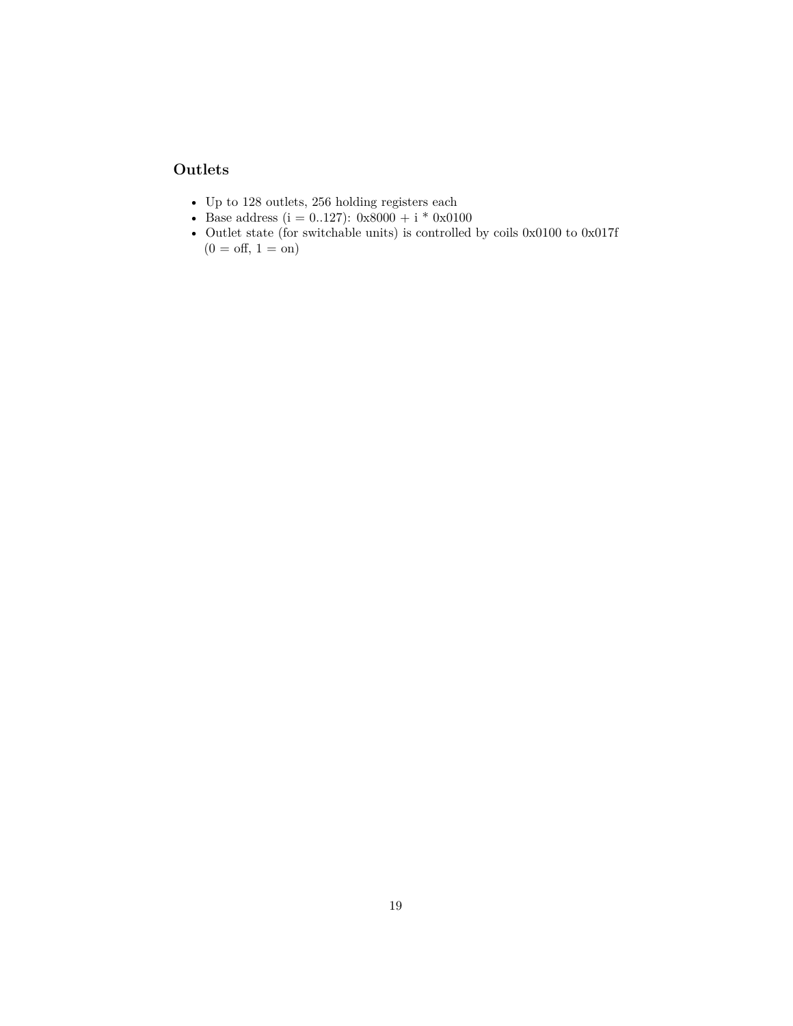#### <span id="page-18-1"></span><span id="page-18-0"></span>**Outlets**

- $\bullet~$  Up to 128 outlets, 256 holding registers each
- Base address ( $i = 0..127$ ):  $0x8000 + i * 0x0100$
- Outlet state (for switchable units) is controlled by coils  $0x0100$  to  $0x017\mathsf{f}$  $(0 = \text{off}, 1 = \text{on})$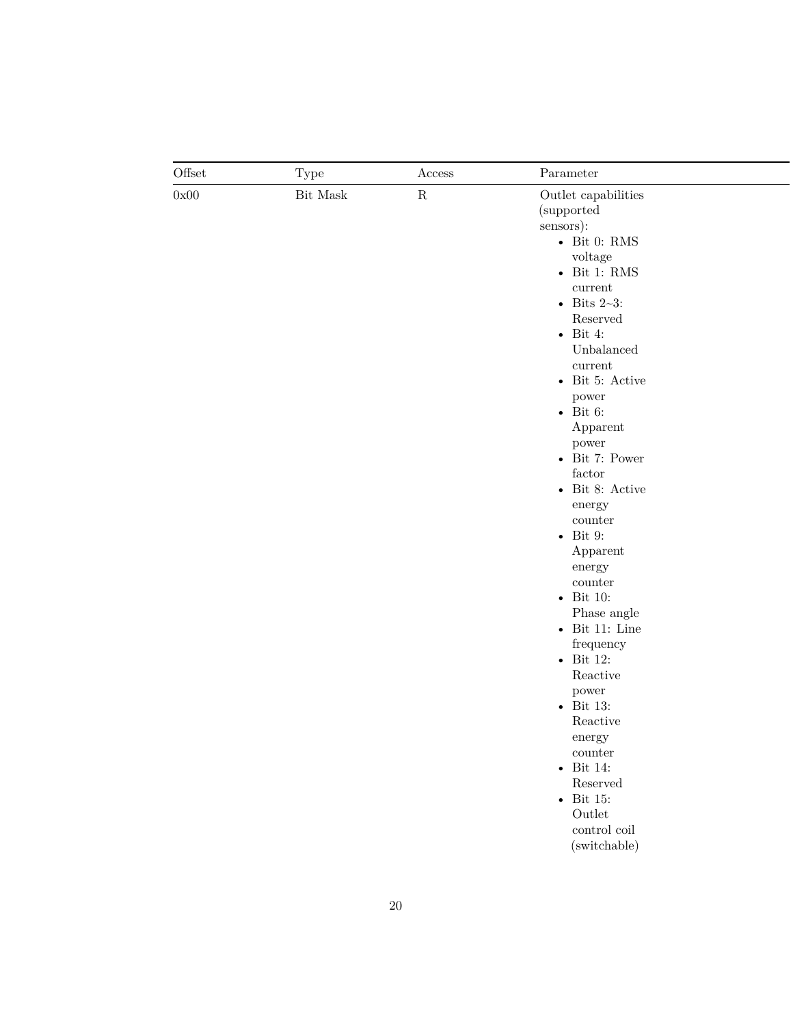| Offset<br>0x00 | <b>Type</b><br>Bit Mask | Access<br>${\bf R}$ | Parameter<br>Outlet capabilities<br>(supported)<br>sensors):<br>- Bit 0: RMS<br>voltage<br>- Bit 1: $\mathrm{RMS}$<br>$\it current$<br>• Bits $2\text{-}3$ :<br>Reserved<br>$\bullet$ Bit 4:<br>Unbalanced<br>$\it current$<br>$\bullet$ Bit 5: Active<br>power<br>- Bit 6:<br>Apparent<br>power<br>$\bullet$ Bit 7: Power<br>${\rm factor}$<br>- Bit 8: Active<br>energy<br>$\operatorname{counter}$<br>$\bullet$ Bit 9:<br>Apparent<br>energy<br>counter<br>- Bit 10:<br>Phase angle<br>- Bit 11: Line<br>frequency<br>$\bullet$ Bit 12:<br>Reactive<br>power<br>- Bit 13:<br>Reactive<br>$\operatorname{energy}$<br>counter<br>- Bit 14:<br>Reserved<br>- Bit 15:<br>$\operatorname{Outlet}$<br>$\,$ control $\,$ coil $\,$ |
|----------------|-------------------------|---------------------|--------------------------------------------------------------------------------------------------------------------------------------------------------------------------------------------------------------------------------------------------------------------------------------------------------------------------------------------------------------------------------------------------------------------------------------------------------------------------------------------------------------------------------------------------------------------------------------------------------------------------------------------------------------------------------------------------------------------------------|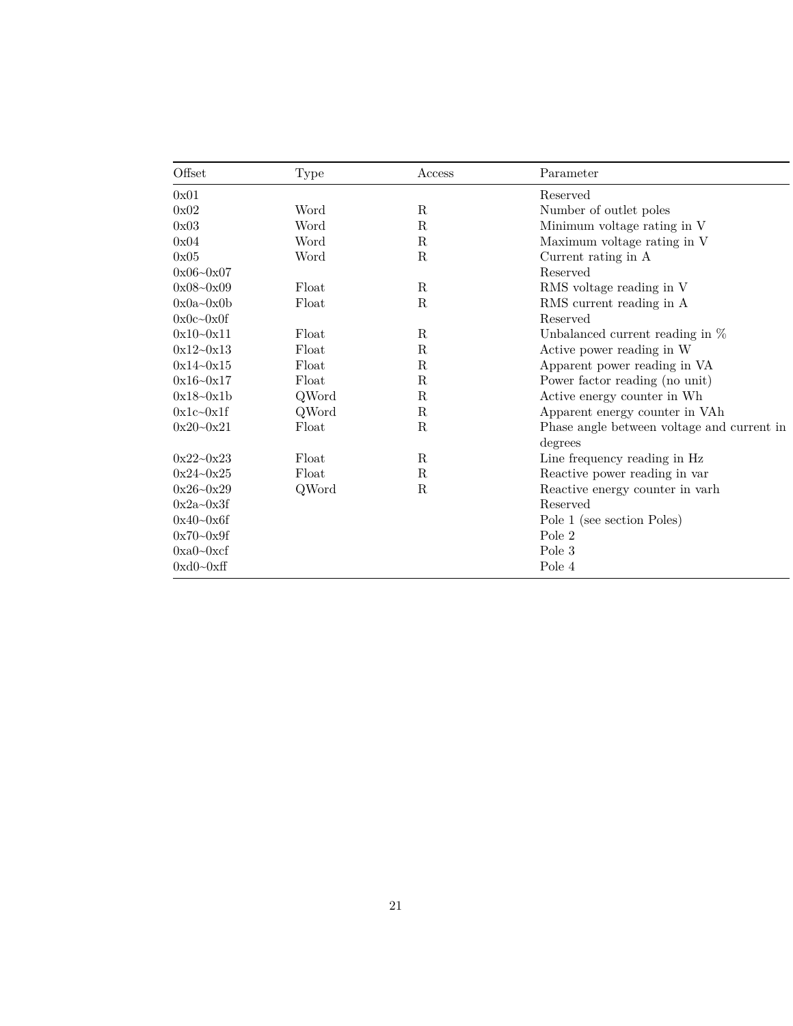| Offset          | <b>Type</b> | Access      | Parameter                                  |
|-----------------|-------------|-------------|--------------------------------------------|
| 0x01            |             |             | Reserved                                   |
| 0x02            | Word        | R           | Number of outlet poles                     |
| 0x03            | Word        | R           | Minimum voltage rating in V                |
| 0x04            | Word        | $\mathbf R$ | Maximum voltage rating in V                |
| 0x05            | Word        | $\mathbf R$ | Current rating in A                        |
| $0x06 - 0x07$   |             |             | Reserved                                   |
| $0x08 - 0x09$   | Float       | R           | RMS voltage reading in V                   |
| $0x0a-0x0b$     | Float       | $\mathbf R$ | RMS current reading in A                   |
| $0x0c - 0x0f$   |             |             | Reserved                                   |
| $0x10 - 0x11$   | Float       | $\mathbf R$ | Unbalanced current reading in $%$          |
| $0x12 - 0x13$   | Float       | R           | Active power reading in W                  |
| $0x14 - 0x15$   | Float       | R           | Apparent power reading in VA               |
| $0x16 - 0x17$   | Float       | R           | Power factor reading (no unit)             |
| $0x18 - 0x1b$   | QWord       | $\mathbf R$ | Active energy counter in Wh                |
| $0x1c-0x1f$     | QWord       | R           | Apparent energy counter in VAh             |
| $0x20 - 0x21$   | Float       | R           | Phase angle between voltage and current in |
|                 |             |             | degrees                                    |
| $0x22 - 0x23$   | Float       | $\mathbf R$ | Line frequency reading in Hz               |
| $0x24 - 0x25$   | Float       | R           | Reactive power reading in var              |
| $0x26 - 0x29$   | QWord       | $\mathbf R$ | Reactive energy counter in varh            |
| $0x2a - 0x3f$   |             |             | Reserved                                   |
| $0x40 - 0x6f$   |             |             | Pole 1 (see section Poles)                 |
| $0x70 - 0x9f$   |             |             | Pole 2                                     |
| $0xa0-0xcf$     |             |             | Pole 3                                     |
| $0xd0$ ~ $0xff$ |             |             | Pole 4                                     |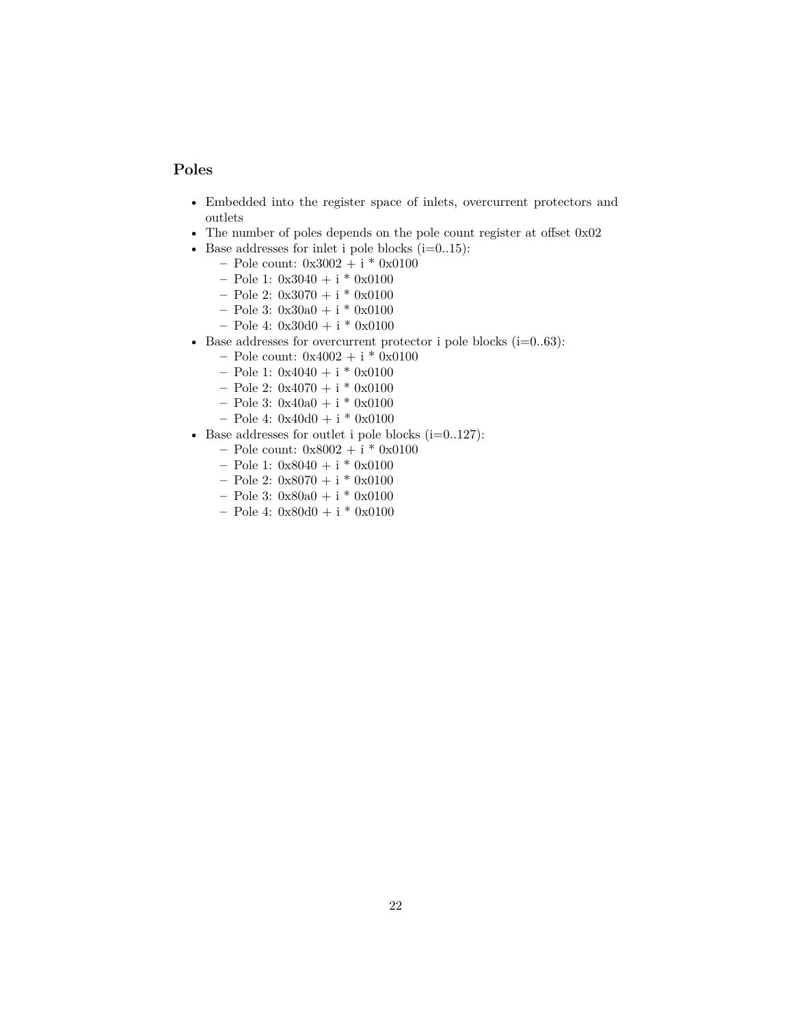#### <span id="page-21-1"></span><span id="page-21-0"></span>**Poles**

- Embedded into the register space of inlets, overcurrent protectors and outlets
- The number of poles depends on the pole count register at offset 0x02
- Base addresses for inlet i pole blocks  $(i=0..15)$ :
	- **–** Pole count: 0x3002 + i \* 0x0100
	- **–** Pole 1: 0x3040 + i \* 0x0100
	- **–** Pole 2: 0x3070 + i \* 0x0100
	- **–** Pole 3: 0x30a0 + i \* 0x0100
	- **–** Pole 4: 0x30d0 + i \* 0x0100
- Base addresses for overcurrent protector i pole blocks  $(i=0..63)$ :
	- **–** Pole count: 0x4002 + i \* 0x0100
	- **–** Pole 1: 0x4040 + i \* 0x0100
	- **–** Pole 2: 0x4070 + i \* 0x0100
	- **–** Pole 3: 0x40a0 + i \* 0x0100
	- **–** Pole 4: 0x40d0 + i \* 0x0100
- Base addresses for outlet i pole blocks  $(i=0..127)$ :
	- **–** Pole count: 0x8002 + i \* 0x0100
	- **–** Pole 1: 0x8040 + i \* 0x0100
	- **–** Pole 2: 0x8070 + i \* 0x0100
	- **–** Pole 3: 0x80a0 + i \* 0x0100
	- **–** Pole 4: 0x80d0 + i \* 0x0100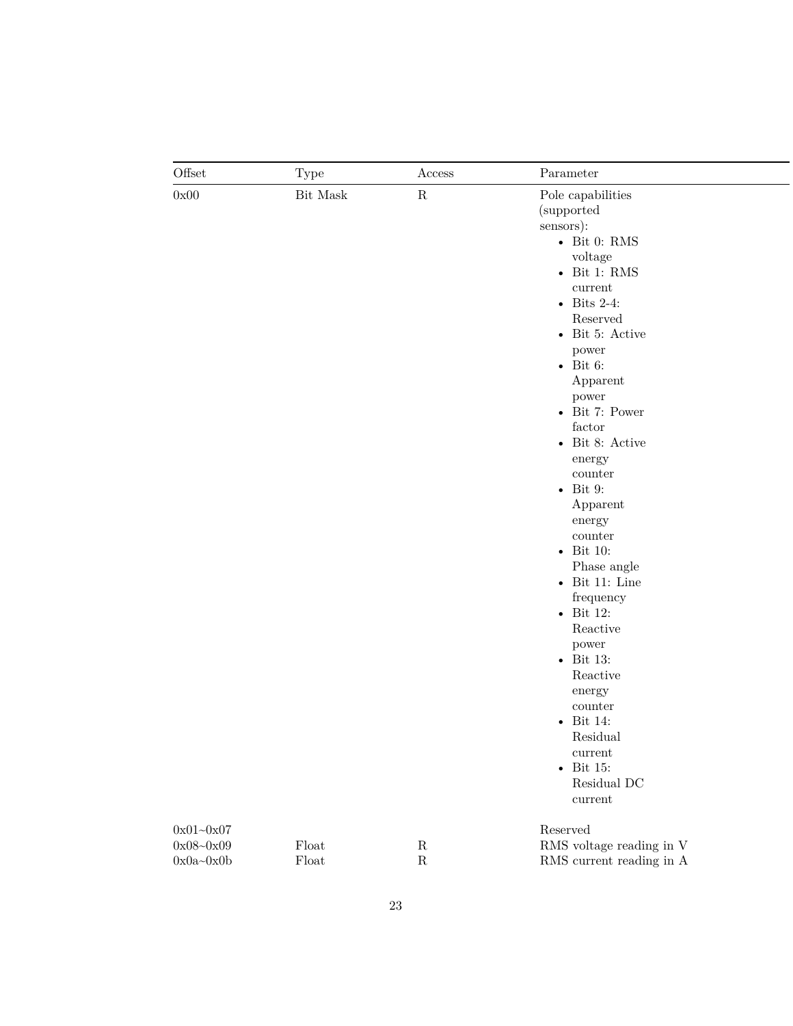| Offset        | <b>Type</b>   | Access    | Parameter                        |
|---------------|---------------|-----------|----------------------------------|
| 0x00          | Bit Mask      | ${\bf R}$ | Pole capabilities                |
|               |               |           | (supported                       |
|               |               |           | sensors):                        |
|               |               |           | - Bit 0: RMS                     |
|               |               |           | voltage                          |
|               |               |           | $\bullet$ Bit 1: RMS             |
|               |               |           | current                          |
|               |               |           | $\bullet$ Bits 2-4:              |
|               |               |           | Reserved                         |
|               |               |           | • Bit 5: Active                  |
|               |               |           | power                            |
|               |               |           | - Bit 6:                         |
|               |               |           | Apparent                         |
|               |               |           | power                            |
|               |               |           | - Bit 7: Power                   |
|               |               |           | factor                           |
|               |               |           | $\bullet$ Bit 8: Active          |
|               |               |           | energy                           |
|               |               |           | counter                          |
|               |               |           | $\bullet$ Bit 9:                 |
|               |               |           | Apparent                         |
|               |               |           | energy                           |
|               |               |           | counter                          |
|               |               |           | - Bit 10:                        |
|               |               |           | Phase angle                      |
|               |               |           | $\bullet$ Bit 11: Line           |
|               |               |           | frequency                        |
|               |               |           | $\bullet$ Bit 12:                |
|               |               |           | Reactive                         |
|               |               |           | power                            |
|               |               |           | $\bullet$ Bit 13:                |
|               |               |           | Reactive                         |
|               |               |           | energy                           |
|               |               |           | counter                          |
|               |               |           | $\bullet$ Bit 14:                |
|               |               |           | Residual                         |
|               |               |           |                                  |
|               |               |           | current<br>- Bit 15:             |
|               |               |           | Residual DC                      |
|               |               |           | $\it current$                    |
|               |               |           |                                  |
| $0x01 - 0x07$ |               |           | Reserved                         |
| $0x08 - 0x09$ | $F$ loat      | ${\bf R}$ | RMS voltage reading in ${\rm V}$ |
| $0x0a - 0x0b$ | ${\rm Float}$ | ${\bf R}$ | RMS current reading in A         |